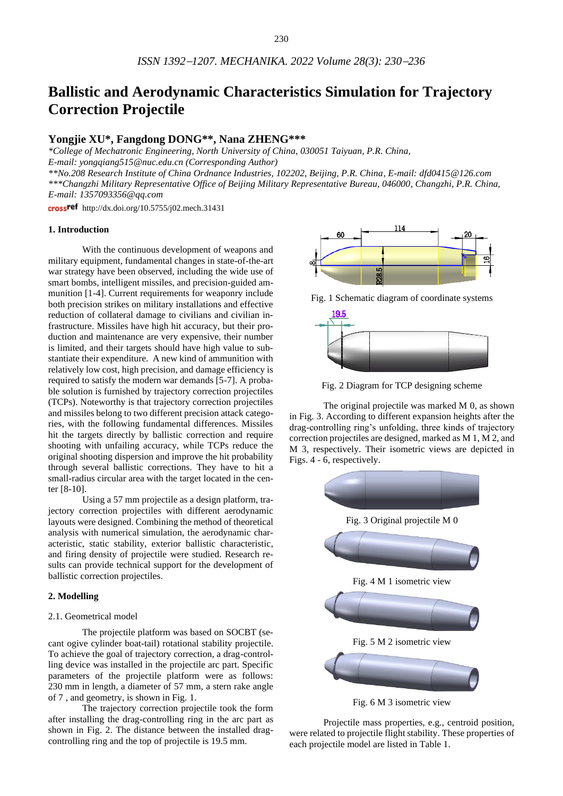# **Ballistic and Aerodynamic Characteristics Simulation for Trajectory Correction Projectile**

# **Yongjie XU\*, Fangdong DONG\*\*, Nana ZHENG\*\*\***

*\*College of Mechatronic Engineering, North University of China, 030051 Taiyuan, P.R. China, E-mail: yongqiang515@nuc.edu.cn (Corresponding Author) \*\*No.208 Research Institute of China Ordnance Industries, 102202, Beijing, P.R. China, E-mail: dfd0415@126.com \*\*\*Changzhi Military Representative Office of Beijing Military Representative Bureau, 046000, Changzhi, P.R. China, E-mail: [1357093356@qq.com](mailto:1357093356@qq.com)*

cross<sup>ref</sup> http://dx.doi.org/10.5755/j02.mech.31431

#### **1. Introduction**

With the continuous development of weapons and military equipment, fundamental changes in state-of-the-art war strategy have been observed, including the wide use of smart bombs, intelligent missiles, and precision-guided ammunition [1-4]. Current requirements for weaponry include both precision strikes on military installations and effective reduction of collateral damage to civilians and civilian infrastructure. Missiles have high hit accuracy, but their production and maintenance are very expensive, their number is limited, and their targets should have high value to substantiate their expenditure. A new kind of ammunition with relatively low cost, high precision, and damage efficiency is required to satisfy the modern war demands [5-7]. A probable solution is furnished by trajectory correction projectiles (TCPs). Noteworthy is that trajectory correction projectiles and missiles belong to two different precision attack categories, with the following fundamental differences. Missiles hit the targets directly by ballistic correction and require shooting with unfailing accuracy, while TCPs reduce the original shooting dispersion and improve the hit probability through several ballistic corrections. They have to hit a small-radius circular area with the target located in the center [8-10].

Using a 57 mm projectile as a design platform, trajectory correction projectiles with different aerodynamic layouts were designed. Combining the method of theoretical analysis with numerical simulation, the aerodynamic characteristic, static stability, exterior ballistic characteristic, and firing density of projectile were studied. Research results can provide technical support for the development of ballistic correction projectiles.

#### **2. Modelling**

## 2.1. Geometrical model

The projectile platform was based on SOCBT (secant ogive cylinder boat-tail) rotational stability projectile. To achieve the goal of trajectory correction, a drag-controlling device was installed in the projectile arc part. Specific parameters of the projectile platform were as follows: 230 mm in length, a diameter of 57 mm, a stern rake angle of 7 , and geometry, is shown in Fig. 1.

The trajectory correction projectile took the form after installing the drag-controlling ring in the arc part as shown in Fig. 2. The distance between the installed dragcontrolling ring and the top of projectile is 19.5 mm.



Fig. 1 Schematic diagram of coordinate systems



Fig. 2 Diagram for TCP designing scheme

The original projectile was marked M 0, as shown in Fig. 3. According to different expansion heights after the drag-controlling ring's unfolding, three kinds of trajectory correction projectiles are designed, marked as M 1, M 2, and M 3, respectively. Their isometric views are depicted in Figs. 4 - 6, respectively.



Fig. 6 M 3 isometric view

Projectile mass properties, e.g., centroid position, were related to projectile flight stability. These properties of each projectile model are listed in Table 1.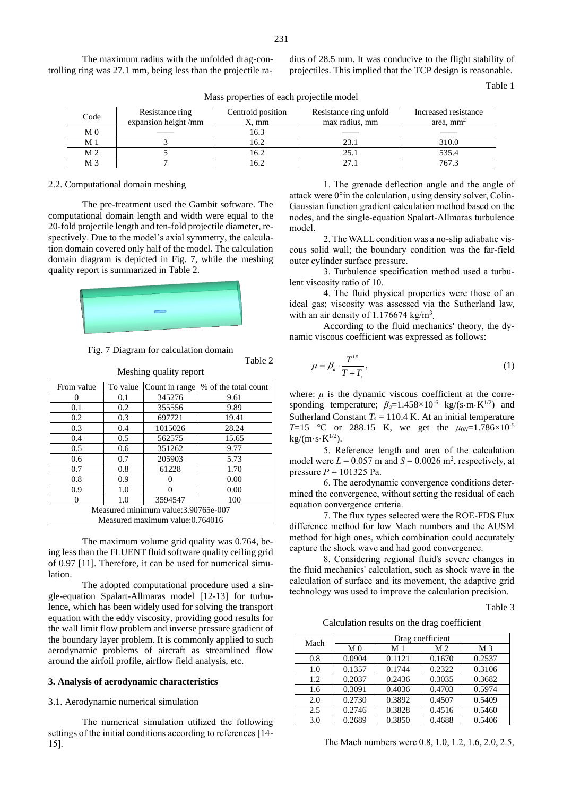The maximum radius with the unfolded drag-controlling ring was 27.1 mm, being less than the projectile radius of 28.5 mm. It was conducive to the flight stability of projectiles. This implied that the TCP design is reasonable.

Table 1

| Code           | Resistance ring<br>expansion height/mm | Centroid position<br>$X, \, \text{mm}$ | Resistance ring unfold<br>max radius, mm | Increased resistance<br>area, $mm2$ |
|----------------|----------------------------------------|----------------------------------------|------------------------------------------|-------------------------------------|
| M <sub>0</sub> |                                        | 16.3                                   |                                          |                                     |
| M 1            |                                        | 16.2                                   |                                          | 310.0                               |
| M <sub>2</sub> |                                        | 16.2                                   | 25.1                                     | 535.4                               |
| M <sub>3</sub> |                                        | 16.2                                   |                                          | 767.3                               |

Mass properties of each projectile model

#### 2.2. Computational domain meshing

The pre-treatment used the Gambit software. The computational domain length and width were equal to the 20-fold projectile length and ten-fold projectile diameter, respectively. Due to the model's axial symmetry, the calculation domain covered only half of the model. The calculation domain diagram is depicted in Fig. 7, while the meshing quality report is summarized in Table 2.



Fig. 7 Diagram for calculation domain

Table 2

| From value                           | To value      | % of the total count            |       |  |  |
|--------------------------------------|---------------|---------------------------------|-------|--|--|
|                                      | 345276<br>0.1 |                                 | 9.61  |  |  |
| 0.1                                  | 0.2           | 355556                          | 9.89  |  |  |
| 0.2                                  | 0.3           | 697721                          | 19.41 |  |  |
| 0.3                                  | 0.4           | 1015026                         | 28.24 |  |  |
| 0.4                                  | 0.5           | 562575                          | 15.65 |  |  |
| 0.5                                  | 0.6           | 351262                          | 9.77  |  |  |
| 0.6                                  | 0.7           | 205903                          | 5.73  |  |  |
| 0.7                                  | 0.8           | 61228                           | 1.70  |  |  |
| 0.8                                  | 0.9           |                                 | 0.00  |  |  |
| 0.9                                  | 0.00          |                                 |       |  |  |
| 3594547<br>1.0<br>100                |               |                                 |       |  |  |
| Measured minimum value: 3.90765e-007 |               |                                 |       |  |  |
|                                      |               | Measured maximum value:0.764016 |       |  |  |

Meshing quality report

The maximum volume grid quality was 0.764, being less than the FLUENT fluid software quality ceiling grid of 0.97 [11]. Therefore, it can be used for numerical simulation.

The adopted computational procedure used a single-equation Spalart-Allmaras model [12-13] for turbulence, which has been widely used for solving the transport equation with the eddy viscosity, providing good results for the wall limit flow problem and inverse pressure gradient of the boundary layer problem. It is commonly applied to such aerodynamic problems of aircraft as streamlined flow around the airfoil profile, airflow field analysis, etc.

#### **3. Analysis of aerodynamic characteristics**

3.1. Aerodynamic numerical simulation

The numerical simulation utilized the following settings of the initial conditions according to references [14- 15].

1. The grenade deflection angle and the angle of attack were 0°in the calculation, using density solver, Colin-Gaussian function gradient calculation method based on the nodes, and the single-equation Spalart-Allmaras turbulence model.

2. The WALL condition was a no-slip adiabatic viscous solid wall; the boundary condition was the far-field outer cylinder surface pressure.

3. Turbulence specification method used a turbulent viscosity ratio of 10.

4. The fluid physical properties were those of an ideal gas; viscosity was assessed via the Sutherland law, with an air density of  $1.176674 \text{ kg/m}^3$ .

According to the fluid mechanics' theory, the dynamic viscous coefficient was expressed as follows:

$$
\mu = \beta_a \cdot \frac{T^{1.5}}{T + T_s},\tag{1}
$$

where:  $\mu$  is the dynamic viscous coefficient at the corresponding temperature;  $\beta_a = 1.458 \times 10^{-6}$  kg/(s·m·K<sup>1/2</sup>) and Sutherland Constant  $T_s = 110.4$  K. At an initial temperature *T*=15 °C or 288.15 K, we get the  $\mu_{0N}$ =1.786×10<sup>-5</sup>  $kg/(m \cdot s \cdot K^{1/2}).$ 

5. Reference length and area of the calculation model were  $L = 0.057$  m and  $S = 0.0026$  m<sup>2</sup>, respectively, at pressure *P* = 101325 Pa.

6. The aerodynamic convergence conditions determined the convergence, without setting the residual of each equation convergence criteria.

7. The flux types selected were the ROE-FDS Flux difference method for low Mach numbers and the AUSM method for high ones, which combination could accurately capture the shock wave and had good convergence.

8. Considering regional fluid's severe changes in the fluid mechanics' calculation, such as shock wave in the calculation of surface and its movement, the adaptive grid technology was used to improve the calculation precision.

Table 3

Calculation results on the drag coefficient

| Mach | Drag coefficient |                |                |                |  |  |
|------|------------------|----------------|----------------|----------------|--|--|
|      | M <sub>0</sub>   | M <sub>1</sub> | M <sub>2</sub> | M <sub>3</sub> |  |  |
| 0.8  | 0.0904           | 0.1121         | 0.1670         | 0.2537         |  |  |
| 1.0  | 0.1357           | 0.1744         | 0.2322         | 0.3106         |  |  |
| 1.2  | 0.2037           | 0.2436         | 0.3035         | 0.3682         |  |  |
| 1.6  | 0.3091           | 0.4036         | 0.4703         | 0.5974         |  |  |
| 2.0  | 0.2730           | 0.3892         | 0.4507         | 0.5409         |  |  |
| 2.5  | 0.2746           | 0.3828         | 0.4516         | 0.5460         |  |  |
| 3.0  | 0.2689           | 0.3850         | 0.4688         | 0.5406         |  |  |

The Mach numbers were 0.8, 1.0, 1.2, 1.6, 2.0, 2.5,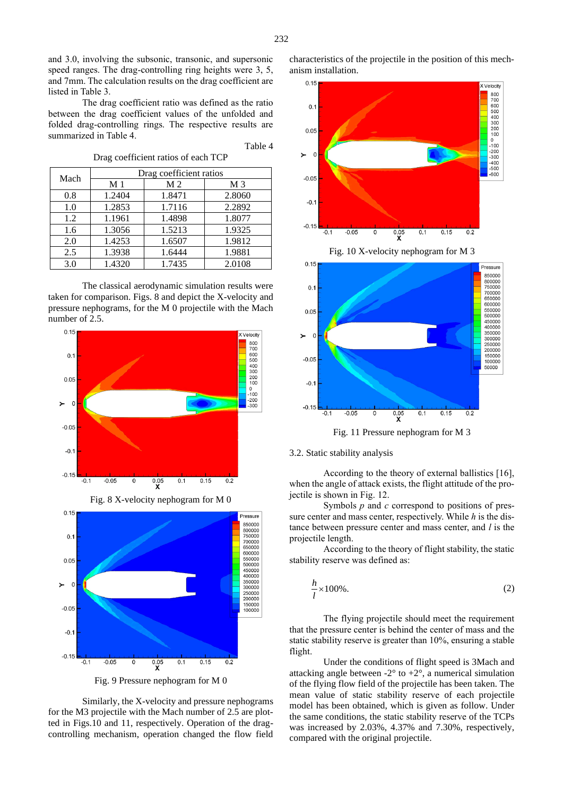and 3.0, involving the subsonic, transonic, and supersonic speed ranges. The drag-controlling ring heights were 3, 5, and 7mm. The calculation results on the drag coefficient are listed in Table 3.

The drag coefficient ratio was defined as the ratio between the drag coefficient values of the unfolded and folded drag-controlling rings. The respective results are summarized in Table 4.

Drag coefficient ratios of each TCP

|      |                | Drag coefficient ratios |                |
|------|----------------|-------------------------|----------------|
| Mach | M <sub>1</sub> | M <sub>2</sub>          | M <sub>3</sub> |
| 0.8  | 1.2404         | 1.8471                  | 2.8060         |
| 1.0  | 1.2853         | 1.7116                  | 2.2892         |
| 1.2  | 1.1961         | 1.4898                  | 1.8077         |
| 1.6  | 1.3056         | 1.5213                  | 1.9325         |
| 2.0  | 1.4253         | 1.6507                  | 1.9812         |
| 2.5  | 1.3938         | 1.6444                  | 1.9881         |
| 3.0  | 1.4320         | 1.7435                  | 2.0108         |

The classical aerodynamic simulation results were taken for comparison. Figs. 8 and depict the X-velocity and pressure nephograms, for the M 0 projectile with the Mach number of 2.5.



Fig. 8 X-velocity nephogram for M 0



Fig. 9 Pressure nephogram for M 0

Similarly, the X-velocity and pressure nephograms for the M3 projectile with the Mach number of 2.5 are plotted in Figs.10 and 11, respectively. Operation of the dragcontrolling mechanism, operation changed the flow field



Fig. 11 Pressure nephogram for M 3

## 3.2. Static stability analysis

According to the theory of external ballistics [16], when the angle of attack exists, the flight attitude of the projectile is shown in Fig. 12.

Symbols *p* and *c* correspond to positions of pressure center and mass center, respectively. While *h* is the distance between pressure center and mass center, and *l* is the projectile length.

According to the theory of flight stability, the static stability reserve was defined as:

$$
\frac{h}{l} \times 100\% \tag{2}
$$

The flying projectile should meet the requirement that the pressure center is behind the center of mass and the static stability reserve is greater than 10%, ensuring a stable flight.

Under the conditions of flight speed is 3Mach and attacking angle between  $-2^{\circ}$  to  $+2^{\circ}$ , a numerical simulation of the flying flow field of the projectile has been taken. The mean value of static stability reserve of each projectile model has been obtained, which is given as follow. Under the same conditions, the static stability reserve of the TCPs was increased by 2.03%, 4.37% and 7.30%, respectively, compared with the original projectile.

Table 4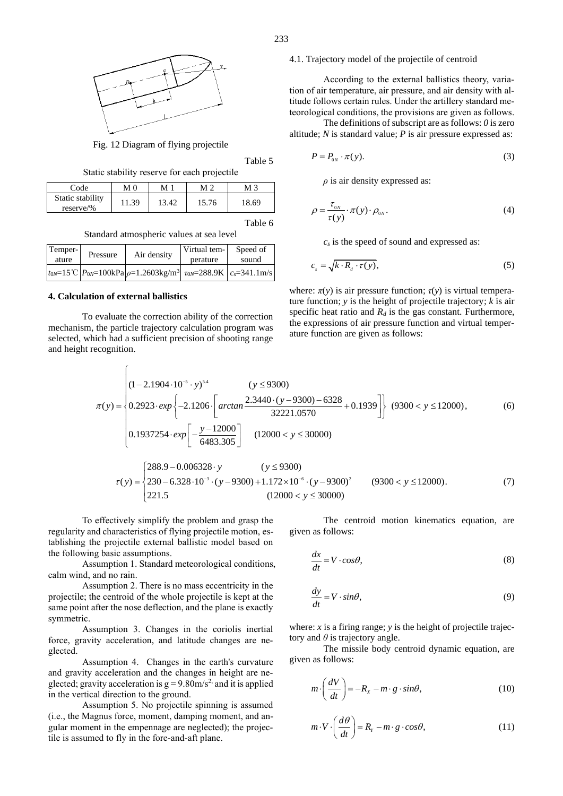

Fig. 12 Diagram of flying projectile

Table 5

Static stability reserve for each projectile

| Code                            | MΩ    | М     | M '   | M 3   |
|---------------------------------|-------|-------|-------|-------|
| Static stability<br>$reserve\%$ | 11.39 | 13.42 | 15.76 | 18.69 |

Table 6

Standard atmospheric values at sea level

| Temper-<br>ature | Pressure | Air density                                                                                                                                                                                  | Virtual tem-<br>perature | Speed of<br>sound |
|------------------|----------|----------------------------------------------------------------------------------------------------------------------------------------------------------------------------------------------|--------------------------|-------------------|
|                  |          | $\int_{\text{row}=15}^{\infty}$ $\mathcal{C} \left[ P_{0N} = 100 \text{kPa} \right]$ $\rho = 1.2603 \text{kg} / \text{m}^3 \left[ \tau_{0N} = 288.9 \text{K} \right] c_s = 341.1 \text{m/s}$ |                          |                   |

#### **4. Calculation of external ballistics**

 $\int$ 

To evaluate the correction ability of the correction mechanism, the particle trajectory calculation program was selected, which had a sufficient precision of shooting range and height recognition.

#### 4.1. Trajectory model of the projectile of centroid

According to the external ballistics theory, variation of air temperature, air pressure, and air density with altitude follows certain rules. Under the artillery standard meteorological conditions, the provisions are given as follows.

The definitions of subscript are as follows: *0* is zero altitude; *N* is standard value; *P* is air pressure expressed as:

$$
P = P_{0N} \cdot \pi(y). \tag{3}
$$

*ρ* is air density expressed as:

$$
\rho = \frac{\tau_{0N}}{\tau(y)} \cdot \pi(y) \cdot \rho_{0N}.
$$
\n(4)

*c<sup>s</sup>* is the speed of sound and expressed as:

$$
c_s = \sqrt{k \cdot R_d \cdot \tau(y)},\tag{5}
$$

where:  $\pi(y)$  is air pressure function;  $\tau(y)$  is virtual temperature function; *y* is the height of projectile trajectory; *k* is air specific heat ratio and  $R_d$  is the gas constant. Furthermore, the expressions of air pressure function and virtual temperature function are given as follows:

$$
\pi(y) = \begin{cases}\n(1-2.1904 \cdot 10^{-5} \cdot y)^{54} & (y \le 9300) \\
0.2923 \cdot exp\left\{-2.1206 \cdot \left[\arctan\frac{2.3440 \cdot (y - 9300) - 6328}{32221.0570} + 0.1939\right]\right\} & (9300 < y \le 12000), \\
0.1937254 \cdot exp\left[-\frac{y - 12000}{6483.305}\right] & (12000 < y \le 30000)\n\end{cases}
$$
\n
$$
\begin{cases}\n288.9 - 0.006328 \cdot y & (y \le 9300) \\
0.1936966683 & (173.1026) \\
0.1936966683 & (173.1026) \\
0.1936966663 & (173.1026) \\
0.1936966663 & (173.1026) \\
0.19369666663 & (173.1026) \\
0.19369666666 & (173.1026) \\
0.1936966666 & (173.1026) \\
0.1936966666 & (173.1026) \\
0.1936966666 & (173.1026) \\
0.1936966666 & (173.1026) \\
0.193696666 & (173.1026) \\
0.193696666 & (173.1026) \\
0.193696666 & (173.1026) \\
0.193696666 & (173.1026) \\
0.193696666 & (173.1026) \\
0.193696666 & (173.1026) \\
0.193696666 & (173.1026) \\
0.193696666 & (173.1026) \\
0.193696666 & (173.1026) \\
0.193696666 & (173.1026) \\
0.193696666 & (173.1026) \\
0.193696666 & (1
$$

$$
\tau(y) = \begin{cases}\n288.9 - 0.006328 \cdot y & (y \le 9300) \\
230 - 6.328 \cdot 10^{-3} \cdot (y - 9300) + 1.172 \times 10^{-6} \cdot (y - 9300)^2 & (9300 < y \le 12000).\n\end{cases}
$$
\n(7)

To effectively simplify the problem and grasp the regularity and characteristics of flying projectile motion, establishing the projectile external ballistic model based on the following basic assumptions.

Assumption 1. Standard meteorological conditions, calm wind, and no rain.

Assumption 2. There is no mass eccentricity in the projectile; the centroid of the whole projectile is kept at the same point after the nose deflection, and the plane is exactly symmetric.

Assumption 3. Changes in the coriolis inertial force, gravity acceleration, and latitude changes are neglected.

Assumption 4. Changes in the earth's curvature and gravity acceleration and the changes in height are neglected; gravity acceleration is  $g = 9.80 \text{m/s}^2$  and it is applied in the vertical direction to the ground.

Assumption 5. No projectile spinning is assumed (i.e., the Magnus force, moment, damping moment, and angular moment in the empennage are neglected); the projectile is assumed to fly in the fore-and-aft plane.

The centroid motion kinematics equation, are given as follows:

$$
\frac{dx}{dt} = V \cdot cos\theta,\tag{8}
$$

$$
\frac{dy}{dt} = V \cdot \sin\theta,\tag{9}
$$

where:  $x$  is a firing range;  $y$  is the height of projectile trajectory and  $\theta$  is trajectory angle.

The missile body centroid dynamic equation, are given as follows:

$$
m \cdot \left(\frac{dV}{dt}\right) = -R_x - m \cdot g \cdot \sin\theta, \tag{10}
$$

$$
m \cdot V \cdot \left(\frac{d\theta}{dt}\right) = R_{Y} - m \cdot g \cdot cos\theta, \qquad (11)
$$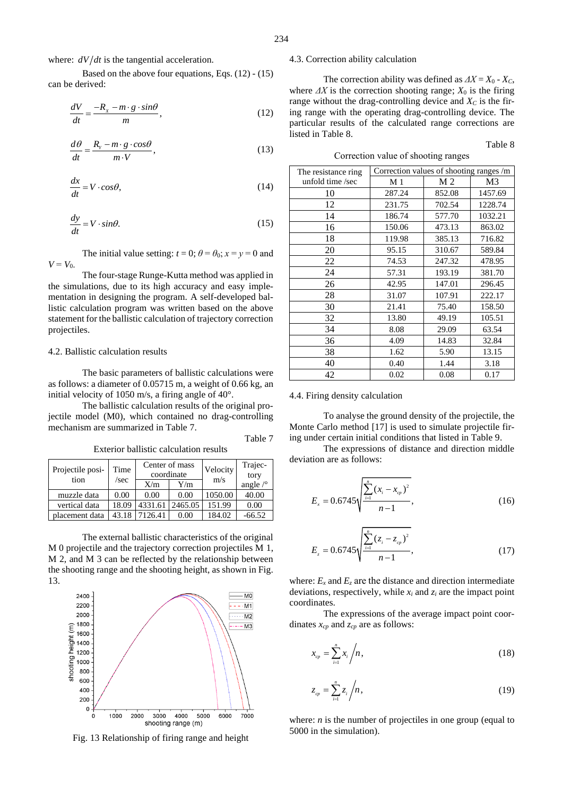where:  $dV/dt$  is the tangential acceleration.

Based on the above four equations, Eqs. (12) - (15) can be derived:

$$
\frac{dV}{dt} = \frac{-R_x - m \cdot g \cdot \sin\theta}{m},\tag{12}
$$

$$
\frac{d\theta}{dt} = \frac{R_{y} - m \cdot g \cdot cos\theta}{m \cdot V},
$$
\n(13)

$$
\frac{dx}{dt} = V \cdot \cos\theta,\tag{14}
$$

$$
\frac{dy}{dt} = V \cdot \sin\theta. \tag{15}
$$

The initial value setting:  $t = 0$ ;  $\theta = \theta_0$ ;  $x = y = 0$  and  $V = V_0$ .

The four-stage Runge-Kutta method was applied in the simulations, due to its high accuracy and easy implementation in designing the program. A self-developed ballistic calculation program was written based on the above statement for the ballistic calculation of trajectory correction projectiles.

#### 4.2. Ballistic calculation results

The basic parameters of ballistic calculations were as follows: a diameter of 0.05715 m, a weight of 0.66 kg, an initial velocity of 1050 m/s, a firing angle of 40°.

The ballistic calculation results of the original projectile model (M0), which contained no drag-controlling mechanism are summarized in Table 7.

Exterior ballistic calculation results

| Projectile posi-<br>tion | Time<br>/sec | Center of mass<br>coordinate |         | Velocity<br>m/s | Trajec-<br>tory |
|--------------------------|--------------|------------------------------|---------|-----------------|-----------------|
|                          |              | X/m                          | Y/m     |                 | angle $\sim$    |
| muzzle data              | 0.00         | 0.00                         | 0.00    | 1050.00         | 40.00           |
| vertical data            | 18.09        | 4331.61                      | 2465.05 | 151.99          | 0.00            |
| placement data           | 43.18        | 7126.41                      | 0.00    | 184.02          | $-66.52$        |

The external ballistic characteristics of the original M 0 projectile and the trajectory correction projectiles M 1, M 2, and M 3 can be reflected by the relationship between the shooting range and the shooting height, as shown in Fig. 13.



Fig. 13 Relationship of firing range and height

## 4.3. Correction ability calculation

The correction ability was defined as  $\Delta X = X_0 - X_C$ , where  $\Delta X$  is the correction shooting range;  $X_0$  is the firing range without the drag-controlling device and  $X_C$  is the firing range with the operating drag-controlling device. The particular results of the calculated range corrections are listed in Table 8.

Correction value of shooting ranges

Table 8

| The resistance ring | Correction values of shooting ranges /m |        |         |
|---------------------|-----------------------------------------|--------|---------|
| unfold time /sec    | M 1                                     | M 2    | M3      |
| 10                  | 287.24                                  | 852.08 | 1457.69 |
| 12                  | 231.75                                  | 702.54 | 1228.74 |
| 14                  | 186.74                                  | 577.70 | 1032.21 |
| 16                  | 150.06                                  | 473.13 | 863.02  |
| 18                  | 119.98                                  | 385.13 | 716.82  |
| 20                  | 95.15                                   | 310.67 | 589.84  |
| 22                  | 74.53                                   | 247.32 | 478.95  |
| 24                  | 57.31                                   | 193.19 | 381.70  |
| 26                  | 42.95                                   | 147.01 | 296.45  |
| 28                  | 31.07                                   | 107.91 | 222.17  |
| 30                  | 21.41                                   | 75.40  | 158.50  |
| 32                  | 13.80                                   | 49.19  | 105.51  |
| 34                  | 8.08                                    | 29.09  | 63.54   |
| 36                  | 4.09                                    | 14.83  | 32.84   |
| 38                  | 1.62                                    | 5.90   | 13.15   |
| 40                  | 0.40                                    | 1.44   | 3.18    |
| 42                  | 0.02                                    | 0.08   | 0.17    |

#### 4.4. Firing density calculation

Table 7

To analyse the ground density of the projectile, the Monte Carlo method [17] is used to simulate projectile firing under certain initial conditions that listed in Table 9.

The expressions of distance and direction middle deviation are as follows:

$$
E_x = 0.6745 \sqrt{\frac{\sum_{i=1}^{n} (x_i - x_{cp})^2}{n-1}},
$$
\n(16)

$$
E_z = 0.6745 \sqrt{\frac{\sum_{i=1}^{n} (z_i - z_{cp})^2}{n-1}},
$$
\n(17)

where:  $E_x$  and  $E_z$  are the distance and direction intermediate deviations, respectively, while  $x_i$  and  $z_i$  are the impact point coordinates.

The expressions of the average impact point coordinates *xcp* and *zcp* are as follows:

$$
x_{cp} = \sum_{i=1}^{n} x_i / n,
$$
\n(18)

$$
z_{cp} = \sum_{i=1}^{n} z_i / n, \qquad (19)
$$

where: *n* is the number of projectiles in one group (equal to 5000 in the simulation).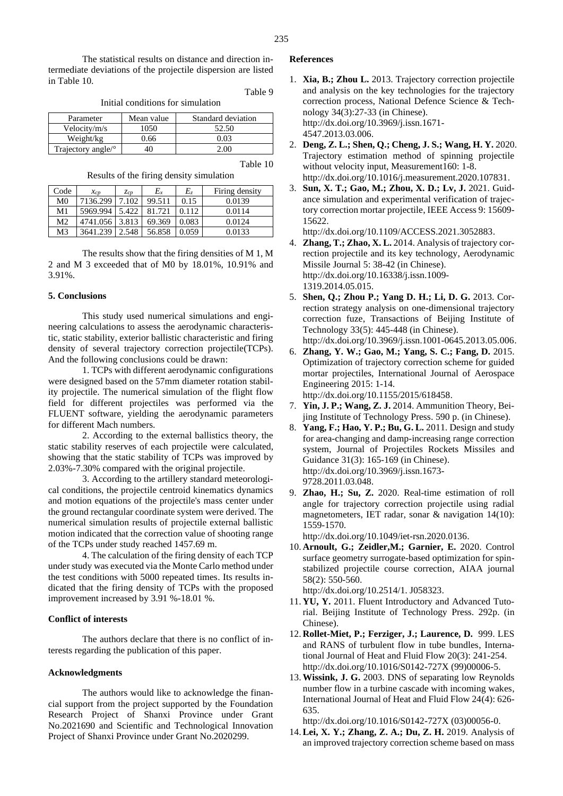The statistical results on distance and direction intermediate deviations of the projectile dispersion are listed in Table 10.

Table 9

Initial conditions for simulation

| Parameter                 | Mean value | Standard deviation |
|---------------------------|------------|--------------------|
| Velocity/m/s              | 1050       | 52.50              |
| Weight/kg                 | 0.66       | 0 03               |
| Trajectory angle/ $\circ$ |            |                    |

Table 10

Results of the firing density simulation

| Code           | $\chi_{CD}$ | Zcp   | $E_x$  | $E_z$ | Firing density |
|----------------|-------------|-------|--------|-------|----------------|
| M <sub>0</sub> | 7136.299    | 7.102 | 99.511 | 0.15  | 0.0139         |
| M1             | 5969.994    | 5.422 | 81.721 | 0.112 | 0.0114         |
| M <sub>2</sub> | 4741.056    | 3.813 | 69.369 | 0.083 | 0.0124         |
| M3             | 3641.239    | 2.548 | 56.858 | 0.059 | 0.0133         |

The results show that the firing densities of M 1, M 2 and M 3 exceeded that of M0 by 18.01%, 10.91% and 3.91%.

#### **5. Conclusions**

This study used numerical simulations and engineering calculations to assess the aerodynamic characteristic, static stability, exterior ballistic characteristic and firing density of several trajectory correction projectile(TCPs). And the following conclusions could be drawn:

1. TCPs with different aerodynamic configurations were designed based on the 57mm diameter rotation stability projectile. The numerical simulation of the flight flow field for different projectiles was performed via the FLUENT software, yielding the aerodynamic parameters for different Mach numbers.

2. According to the external ballistics theory, the static stability reserves of each projectile were calculated, showing that the static stability of TCPs was improved by 2.03%-7.30% compared with the original projectile.

3. According to the artillery standard meteorological conditions, the projectile centroid kinematics dynamics and motion equations of the projectile's mass center under the ground rectangular coordinate system were derived. The numerical simulation results of projectile external ballistic motion indicated that the correction value of shooting range of the TCPs under study reached 1457.69 m.

4. The calculation of the firing density of each TCP under study was executed via the Monte Carlo method under the test conditions with 5000 repeated times. Its results indicated that the firing density of TCPs with the proposed improvement increased by 3.91 %-18.01 %.

## **Conflict of interests**

The authors declare that there is no conflict of interests regarding the publication of this paper.

#### **Acknowledgments**

The authors would like to acknowledge the financial support from the project supported by the Foundation Research Project of Shanxi Province under Grant No.2021690 and Scientific and Technological Innovation Project of Shanxi Province under Grant No.2020299.

## **References**

- 1. **Xia, B.; Zhou L.** 2013. Trajectory correction projectile and analysis on the key technologies for the trajectory correction process, National Defence Science & Technology 34(3):27-33 (in Chinese). http://dx.doi.org/10.3969/j.issn.1671- 4547.2013.03.006.
- 2. **Deng, Z. L.; Shen, Q.; Cheng, J. S.; Wang, H. Y.** 2020. Trajectory estimation method of spinning projectile without velocity input, Measurement160: 1-8. http://dx.doi.org/10.1016/j.measurement.2020.107831.
- 3. **Sun, X. T.; Gao, M.; Zhou, X. D.; Lv, J.** 2021. Guidance simulation and experimental verification of trajectory correction mortar projectile, IEEE Access 9: 15609- 15622.

http://dx.doi.org/10.1109/ACCESS.2021.3052883.

- 4. **Zhang, T.; Zhao, X. L.** 2014. Analysis of trajectory correction projectile and its key technology, Aerodynamic Missile Journal 5: 38-42 (in Chinese). http://dx.doi.org/10.16338/j.issn.1009- 1319.2014.05.015.
- 5. **Shen, Q.; Zhou P.; Yang D. H.; Li, D. G.** 2013. Correction strategy analysis on one-dimensional trajectory correction fuze, Transactions of Beijing Institute of Technology 33(5): 445-448 (in Chinese).

http://dx.doi.org/10.3969/j.issn.1001-0645.2013.05.006.

6. **Zhang, Y. W.; Gao, M.; Yang, S. C.; Fang, D.** 2015. Optimization of trajectory correction scheme for guided mortar projectiles, International Journal of Aerospace Engineering 2015: 1-14.

http://dx.doi.org/10.1155/2015/618458.

- 7. **Yin, J. P.; Wang, Z. J.** 2014. Ammunition Theory, Beijing Institute of Technology Press. 590 p. (in Chinese).
- 8. **Yang, F.; Hao, Y. P.; Bu, G. L.** 2011. Design and study for area-changing and damp-increasing range correction system, Journal of Projectiles Rockets Missiles and Guidance 31(3): 165-169 (in Chinese). http://dx.doi.org/10.3969/j.issn.1673- 9728.2011.03.048.
- 9. **Zhao, H.; Su, Z.** 2020. Real-time estimation of roll angle for trajectory correction projectile using radial magnetometers, IET radar, sonar & navigation 14(10): 1559-1570.

http://dx.doi.org/10.1049/iet-rsn.2020.0136.

10. **Arnoult, G.; Zeidler,M.; Garnier, E.** 2020. Control surface geometry surrogate-based optimization for spinstabilized projectile course correction, AIAA journal 58(2): 550-560.

http://dx.doi.org/10.2514/1. J058323.

- 11. **YU, Y.** 2011. Fluent Introductory and Advanced Tutorial. Beijing Institute of Technology Press. 292p. (in Chinese).
- 12. **Rollet-Miet, P.; Ferziger, J.; Laurence, D.** 999. LES and RANS of turbulent flow in tube bundles, International Journal of Heat and Fluid Flow 20(3): 241-254. http://dx.doi.org/10.1016/S0142-727X (99)00006-5.
- 13.**Wissink, J. G.** 2003. DNS of separating low Reynolds number flow in a turbine cascade with incoming wakes, International Journal of Heat and Fluid Flow 24(4): 626- 635.

http://dx.doi.org/10.1016/S0142-727X (03)00056-0.

14.**Lei, X. Y.; Zhang, Z. A.; Du, Z. H.** 2019. Analysis of an improved trajectory correction scheme based on mass